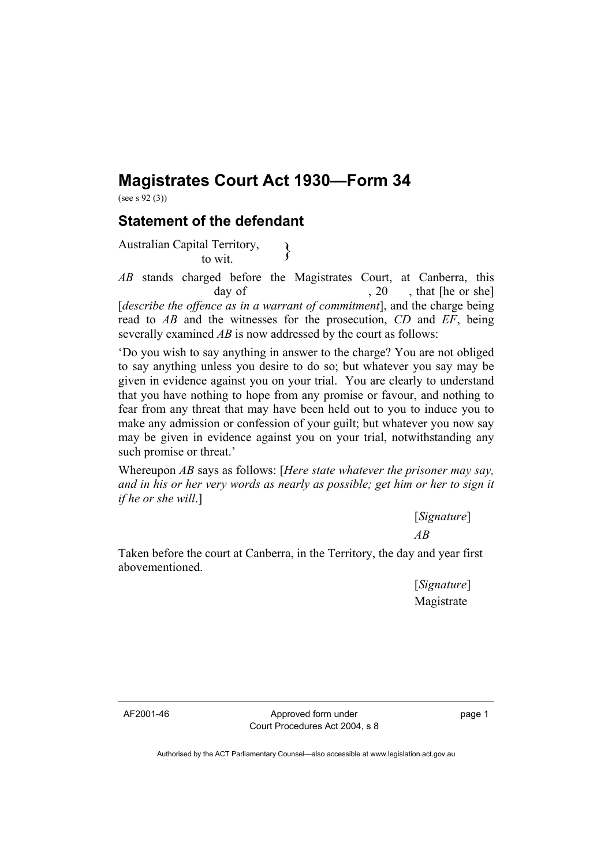## **Magistrates Court Act 1930—Form 34**

(see s 92 (3))

## **Statement of the defendant**

Australian Capital Territory,<br>to wit.

*AB* stands charged before the Magistrates Court, at Canberra, this day of  $, 20$ , that [he or she] [*describe the offence as in a warrant of commitment*], and the charge being read to *AB* and the witnesses for the prosecution, *CD* and *EF*, being severally examined *AB* is now addressed by the court as follows:

'Do you wish to say anything in answer to the charge? You are not obliged to say anything unless you desire to do so; but whatever you say may be given in evidence against you on your trial. You are clearly to understand that you have nothing to hope from any promise or favour, and nothing to fear from any threat that may have been held out to you to induce you to make any admission or confession of your guilt; but whatever you now say may be given in evidence against you on your trial, notwithstanding any such promise or threat.'

Whereupon *AB* says as follows: [*Here state whatever the prisoner may say, and in his or her very words as nearly as possible; get him or her to sign it if he or she will*.]

> [*Signature*] *AB*

Taken before the court at Canberra, in the Territory, the day and year first abovementioned.

> [*Signature*] Magistrate

AF2001-46 Approved form under Court Procedures Act 2004, s 8 page 1

Authorised by the ACT Parliamentary Counsel—also accessible at www.legislation.act.gov.au